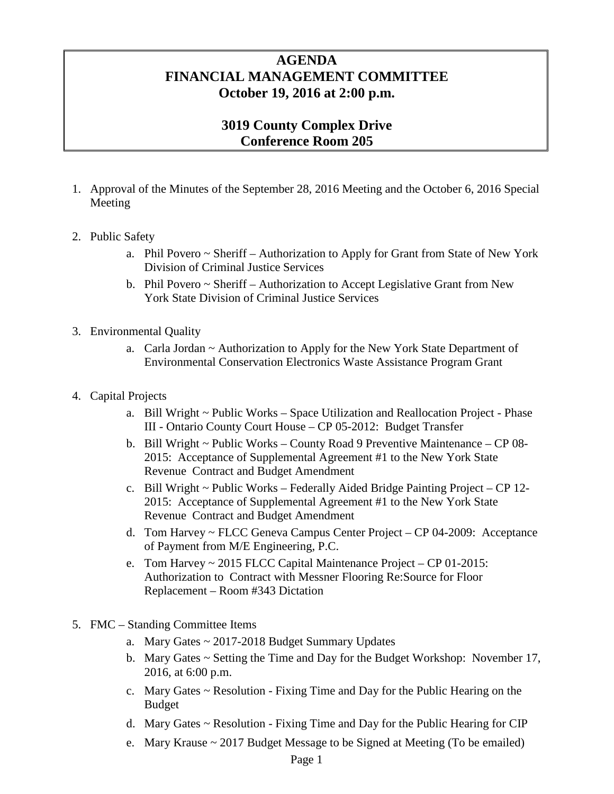## **AGENDA FINANCIAL MANAGEMENT COMMITTEE October 19, 2016 at 2:00 p.m.**

## **3019 County Complex Drive Conference Room 205**

- 1. Approval of the Minutes of the September 28, 2016 Meeting and the October 6, 2016 Special Meeting
- 2. Public Safety
	- a. Phil Povero ~ Sheriff Authorization to Apply for Grant from State of New York Division of Criminal Justice Services
	- b. Phil Povero ~ Sheriff Authorization to Accept Legislative Grant from New York State Division of Criminal Justice Services
- 3. Environmental Quality
	- a. Carla Jordan ~ Authorization to Apply for the New York State Department of Environmental Conservation Electronics Waste Assistance Program Grant
- 4. Capital Projects
	- a. Bill Wright ~ Public Works Space Utilization and Reallocation Project Phase III - Ontario County Court House – CP 05-2012: Budget Transfer
	- b. Bill Wright ~ Public Works County Road 9 Preventive Maintenance CP 08- 2015: Acceptance of Supplemental Agreement #1 to the New York State Revenue Contract and Budget Amendment
	- c. Bill Wright ~ Public Works Federally Aided Bridge Painting Project CP 12- 2015: Acceptance of Supplemental Agreement #1 to the New York State Revenue Contract and Budget Amendment
	- d. Tom Harvey ~ FLCC Geneva Campus Center Project CP 04-2009: Acceptance of Payment from M/E Engineering, P.C.
	- e. Tom Harvey ~ 2015 FLCC Capital Maintenance Project CP 01-2015: Authorization to Contract with Messner Flooring Re:Source for Floor Replacement – Room #343 Dictation
- 5. FMC Standing Committee Items
	- a. Mary Gates ~ 2017-2018 Budget Summary Updates
	- b. Mary Gates ~ Setting the Time and Day for the Budget Workshop: November 17, 2016, at 6:00 p.m.
	- c. Mary Gates ~ Resolution Fixing Time and Day for the Public Hearing on the Budget
	- d. Mary Gates ~ Resolution Fixing Time and Day for the Public Hearing for CIP
	- e. Mary Krause ~ 2017 Budget Message to be Signed at Meeting (To be emailed)